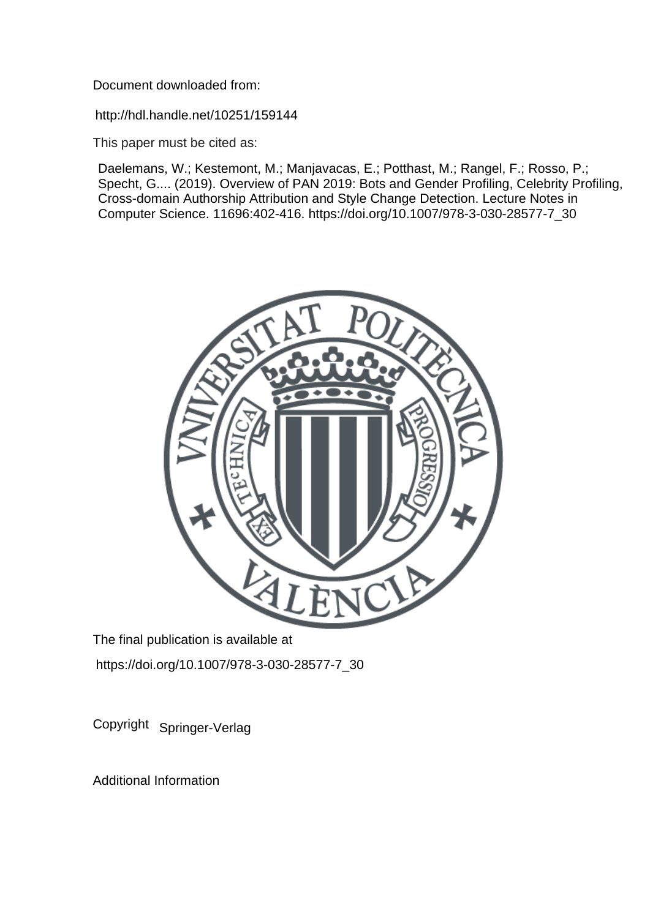Document downloaded from:

http://hdl.handle.net/10251/159144

This paper must be cited as:

Daelemans, W.; Kestemont, M.; Manjavacas, E.; Potthast, M.; Rangel, F.; Rosso, P.; Specht, G.... (2019). Overview of PAN 2019: Bots and Gender Profiling, Celebrity Profiling, Cross-domain Authorship Attribution and Style Change Detection. Lecture Notes in Computer Science. 11696:402-416. https://doi.org/10.1007/978-3-030-28577-7\_30



The final publication is available at https://doi.org/10.1007/978-3-030-28577-7\_30

Copyright Springer-Verlag

Additional Information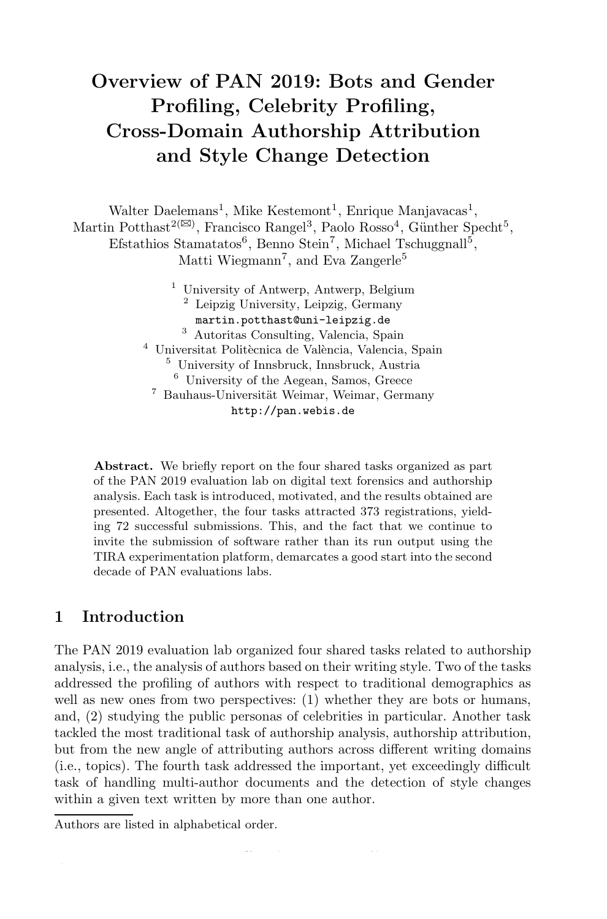# Overview of PAN 2019: Bots and Gender Profiling, Celebrity Profiling, Cross-Domain Authorship Attribution and Style Change Detection

Walter Daelemans<sup>1</sup>, Mike Kestemont<sup>1</sup>, Enrique Manjavacas<sup>1</sup>, Martin Potthast<sup>2( $\boxtimes$ )</sup>, Francisco Rangel<sup>3</sup>, Paolo Rosso<sup>4</sup>, Günther Specht<sup>5</sup>, Efstathios Stamatatos<sup>6</sup>, Benno Stein<sup>7</sup>, Michael Tschuggnall<sup>5</sup>, Matti Wiegmann<sup>7</sup>, and Eva Zangerle<sup>5</sup> <sup>1</sup> University of Antwerp, Antwerp, Belgium

<sup>2</sup> Leipzig University, Leipzig, Germany martin.potthast@uni-leipzig.de <sup>3</sup> Autoritas Consulting, Valencia, Spain <sup>4</sup> Universitat Politècnica de València, Valencia, Spain <sup>5</sup> University of Innsbruck, Innsbruck, Austria <sup>6</sup> University of the Aegean, Samos, Greece <sup>7</sup> Bauhaus-Universität Weimar, Weimar, Germany http://pan.webis.de

Abstract. We briefly report on the four shared tasks organized as part of the PAN 2019 evaluation lab on digital text forensics and authorship analysis. Each task is introduced, motivated, and the results obtained are presented. Altogether, the four tasks attracted 373 registrations, yielding 72 successful submissions. This, and the fact that we continue to invite the submission of software rather than its run output using the TIRA experimentation platform, demarcates a good start into the second decade of PAN evaluations labs.

# 1 Introduction

The PAN 2019 evaluation lab organized four shared tasks related to authorship analysis, i.e., the analysis of authors based on their writing style. Two of the tasks addressed the profiling of authors with respect to traditional demographics as well as new ones from two perspectives: (1) whether they are bots or humans, and, (2) studying the public personas of celebrities in particular. Another task tackled the most traditional task of authorship analysis, authorship attribution, but from the new angle of attributing authors across different writing domains (i.e., topics). The fourth task addressed the important, yet exceedingly difficult task of handling multi-author documents and the detection of style changes within a given text written by more than one author.

F. Crestani et al. (Eds.): CLEF 2019, LNCS 11696, pp. 402–416, 2019.

Authors are listed in alphabetical order.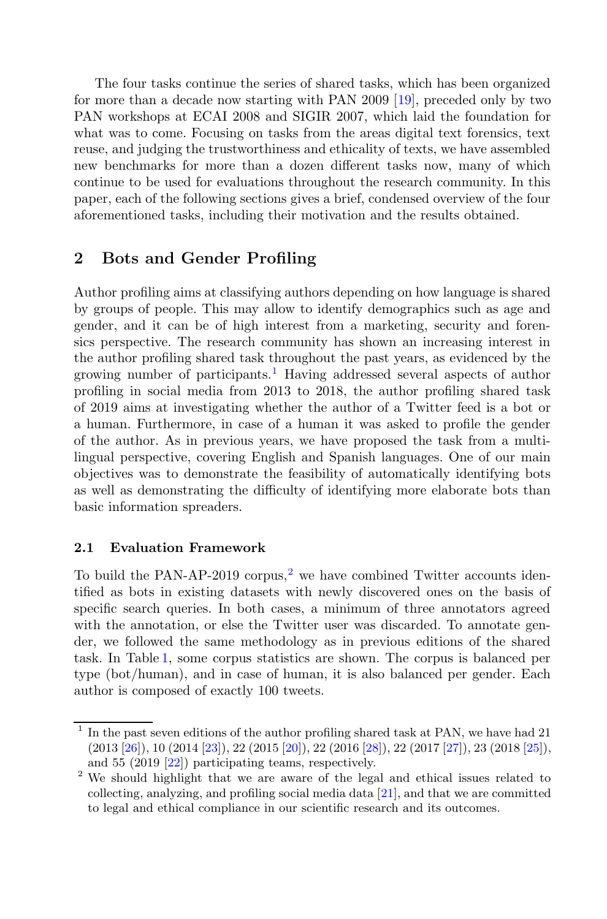The four tasks continue the series of shared tasks, which has been organized for more than a decade now starting with PAN 2009 [19], preceded only by two PAN workshops at ECAI 2008 and SIGIR 2007, which laid the foundation for what was to come. Focusing on tasks from the areas digital text forensics, text reuse, and judging the trustworthiness and ethicality of texts, we have assembled new benchmarks for more than a dozen different tasks now, many of which continue to be used for evaluations throughout the research community. In this paper, each of the following sections gives a brief, condensed overview of the four aforementioned tasks, including their motivation and the results obtained.

# 2 Bots and Gender Profiling

Author profiling aims at classifying authors depending on how language is shared by groups of people. This may allow to identify demographics such as age and gender, and it can be of high interest from a marketing, security and forensics perspective. The research community has shown an increasing interest in the author profiling shared task throughout the past years, as evidenced by the growing number of participants.<sup>1</sup> Having addressed several aspects of author profiling in social media from 2013 to 2018, the author profiling shared task of 2019 aims at investigating whether the author of a Twitter feed is a bot or a human. Furthermore, in case of a human it was asked to profile the gender of the author. As in previous years, we have proposed the task from a multilingual perspective, covering English and Spanish languages. One of our main objectives was to demonstrate the feasibility of automatically identifying bots as well as demonstrating the difficulty of identifying more elaborate bots than basic information spreaders.

## 2.1 Evaluation Framework

To build the PAN-AP-2019 corpus,<sup>2</sup> we have combined Twitter accounts identified as bots in existing datasets with newly discovered ones on the basis of specific search queries. In both cases, a minimum of three annotators agreed with the annotation, or else the Twitter user was discarded. To annotate gender, we followed the same methodology as in previous editions of the shared task. In Table 1, some corpus statistics are shown. The corpus is balanced per type (bot/human), and in case of human, it is also balanced per gender. Each author is composed of exactly 100 tweets.

<sup>1</sup> In the past seven editions of the author profiling shared task at PAN, we have had 21 (2013 [26]), 10 (2014 [23]), 22 (2015 [20]), 22 (2016 [28]), 22 (2017 [27]), 23 (2018 [25]), and 55 (2019 [22]) participating teams, respectively.

<sup>&</sup>lt;sup>2</sup> We should highlight that we are aware of the legal and ethical issues related to collecting, analyzing, and profiling social media data [21], and that we are committed to legal and ethical compliance in our scientific research and its outcomes.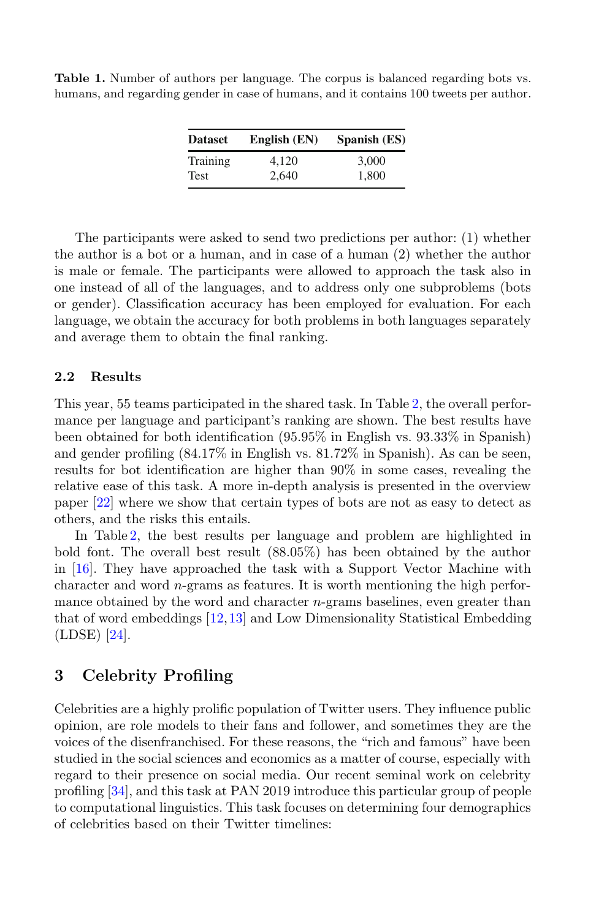| <b>Dataset</b> | English (EN) | Spanish (ES) |  |  |
|----------------|--------------|--------------|--|--|
| Training       | 4,120        | 3.000        |  |  |
| <b>Test</b>    | 2.640        | 1,800        |  |  |

Table 1. Number of authors per language. The corpus is balanced regarding bots vs. humans, and regarding gender in case of humans, and it contains 100 tweets per author.

The participants were asked to send two predictions per author: (1) whether the author is a bot or a human, and in case of a human (2) whether the author is male or female. The participants were allowed to approach the task also in one instead of all of the languages, and to address only one subproblems (bots or gender). Classification accuracy has been employed for evaluation. For each language, we obtain the accuracy for both problems in both languages separately and average them to obtain the final ranking.

#### 2.2 Results

This year, 55 teams participated in the shared task. In Table 2, the overall performance per language and participant's ranking are shown. The best results have been obtained for both identification (95.95% in English vs. 93.33% in Spanish) and gender profiling (84.17% in English vs. 81.72% in Spanish). As can be seen, results for bot identification are higher than 90% in some cases, revealing the relative ease of this task. A more in-depth analysis is presented in the overview paper [22] where we show that certain types of bots are not as easy to detect as others, and the risks this entails.

In Table 2, the best results per language and problem are highlighted in bold font. The overall best result (88.05%) has been obtained by the author in [16]. They have approached the task with a Support Vector Machine with character and word  $n$ -grams as features. It is worth mentioning the high performance obtained by the word and character *n*-grams baselines, even greater than that of word embeddings [12,13] and Low Dimensionality Statistical Embedding (LDSE) [24].

# 3 Celebrity Profiling

Celebrities are a highly prolific population of Twitter users. They influence public opinion, are role models to their fans and follower, and sometimes they are the voices of the disenfranchised. For these reasons, the "rich and famous" have been studied in the social sciences and economics as a matter of course, especially with regard to their presence on social media. Our recent seminal work on celebrity profiling [34], and this task at PAN 2019 introduce this particular group of people to computational linguistics. This task focuses on determining four demographics of celebrities based on their Twitter timelines: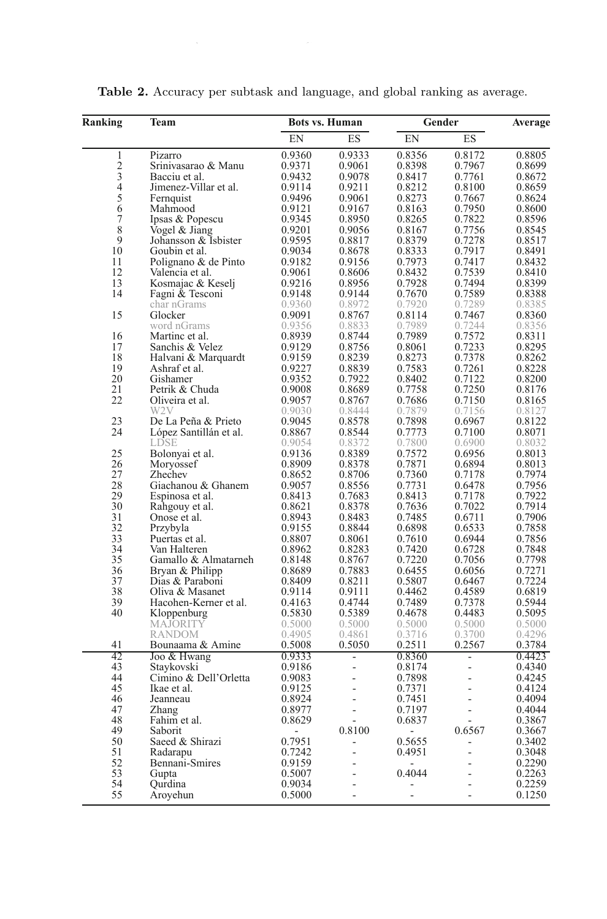| Ranking        | Team                                |                  | <b>Bots vs. Human</b> |                  | Gender           | Average          |  |
|----------------|-------------------------------------|------------------|-----------------------|------------------|------------------|------------------|--|
|                |                                     | EN               | ES                    | EN               | ES               |                  |  |
| 1              | Pizarro                             | 0.9360           | 0.9333                | 0.8356           | 0.8172           | 0.8805           |  |
| $\overline{c}$ | Srinivasarao & Manu                 | 0.9371           | 0.9061                | 0.8398           | 0.7967           | 0.8699           |  |
| 3              | Bacciu et al.                       | 0.9432           | 0.9078                | 0.8417           | 0.7761           | 0.8672           |  |
| 4              | Jimenez-Villar et al.               | 0.9114           | 0.9211                | 0.8212           | 0.8100           | 0.8659           |  |
| 5<br>6         | Fernquist<br>Mahmood                | 0.9496<br>0.9121 | 0.9061<br>0.9167      | 0.8273<br>0.8163 | 0.7667<br>0.7950 | 0.8624<br>0.8600 |  |
| $\overline{7}$ | Ipsas & Popescu                     | 0.9345           | 0.8950                | 0.8265           | 0.7822           | 0.8596           |  |
| 8              | Vogel & Jiang                       | 0.9201           | 0.9056                | 0.8167           | 0.7756           | 0.8545           |  |
| 9              | Johansson & Isbister                | 0.9595           | 0.8817                | 0.8379           | 0.7278           | 0.8517           |  |
| 10             | Goubin et al.                       | 0.9034           | 0.8678                | 0.8333           | 0.7917           | 0.8491           |  |
| 11             | Polignano & de Pinto                | 0.9182           | 0.9156                | 0.7973           | 0.7417           | 0.8432           |  |
| 12             | Valencia et al.                     | 0.9061           | 0.8606                | 0.8432           | 0.7539           | 0.8410           |  |
| 13             | Kosmajac & Keselj                   | 0.9216           | 0.8956                | 0.7928           | 0.7494           | 0.8399           |  |
| 14             | Fagni & Tesconi                     | 0.9148           | 0.9144                | 0.7670           | 0.7589           | 0.8388           |  |
|                | char nGrams                         | 0.9360           | 0.8972                | 0.7920           | 0.7289           | 0.8385           |  |
| 15             | Glocker                             | 0.9091           | 0.8767                | 0.8114           | 0.7467           | 0.8360           |  |
|                | word nGrams                         | 0.9356           | 0.8833                | 0.7989           | 0.7244           | 0.8356           |  |
| 16             | Martinc et al.                      | 0.8939           | 0.8744                | 0.7989           | 0.7572           | 0.8311           |  |
| 17             | Sanchis & Velez                     | 0.9129           | 0.8756                | 0.8061           | 0.7233           | 0.8295           |  |
| 18             | Halvani & Marquardt                 | 0.9159           | 0.8239                | 0.8273           | 0.7378           | 0.8262           |  |
| 19             | Ashraf et al.                       | 0.9227           | 0.8839                | 0.7583           | 0.7261           | 0.8228           |  |
| 20             | Gishamer                            | 0.9352           | 0.7922                | 0.8402           | 0.7122           | 0.8200           |  |
| 21             | Petrik & Chuda                      | 0.9008           | 0.8689                | 0.7758           | 0.7250           | 0.8176           |  |
| 22             | Oliveira et al.<br>W <sub>2</sub> V | 0.9057<br>0.9030 | 0.8767<br>0.8444      | 0.7686           | 0.7150           | 0.8165           |  |
| 23             | De La Peña & Prieto                 | 0.9045           | 0.8578                | 0.7879<br>0.7898 | 0.7156<br>0.6967 | 0.8127<br>0.8122 |  |
| 24             | López Santillán et al.              | 0.8867           | 0.8544                | 0.7773           | 0.7100           | 0.8071           |  |
|                | LDSE                                | 0.9054           | 0.8372                | 0.7800           | 0.6900           | 0.8032           |  |
| 25             | Bolonyai et al.                     | 0.9136           | 0.8389                | 0.7572           | 0.6956           | 0.8013           |  |
| 26             | Moryossef                           | 0.8909           | 0.8378                | 0.7871           | 0.6894           | 0.8013           |  |
| 27             | Zhechev                             | 0.8652           | 0.8706                | 0.7360           | 0.7178           | 0.7974           |  |
| 28             | Giachanou & Ghanem                  | 0.9057           | 0.8556                | 0.7731           | 0.6478           | 0.7956           |  |
| 29             | Espinosa et al.                     | 0.8413           | 0.7683                | 0.8413           | 0.7178           | 0.7922           |  |
| 30             | Rahgouy et al.                      | 0.8621           | 0.8378                | 0.7636           | 0.7022           | 0.7914           |  |
| 31             | Onose et al.                        | 0.8943           | 0.8483                | 0.7485           | 0.6711           | 0.7906           |  |
| 32             | Przybyla                            | 0.9155           | 0.8844                | 0.6898           | 0.6533           | 0.7858           |  |
| 33             | Puertas et al.                      | 0.8807           | 0.8061                | 0.7610           | 0.6944           | 0.7856           |  |
| 34             | Van Halteren                        | 0.8962           | 0.8283                | 0.7420           | 0.6728           | 0.7848           |  |
| 35             | Gamallo & Almatarneh                | 0.8148           | 0.8767                | 0.7220           | 0.7056           | 0.7798           |  |
| 36             | Bryan & Philipp                     | 0.8689           | 0.7883                | 0.6455           | 0.6056           | 0.7271           |  |
| 37<br>38       | Dias & Paraboni<br>Oliva & Masanet  | 0.8409<br>0.9114 | 0.8211<br>0.9111      | 0.5807           | 0.6467<br>0.4589 | 0.7224<br>0.6819 |  |
| 39             | Hacohen-Kerner et al.               | 0.4163           | 0.4744                | 0.4462<br>0.7489 | 0.7378           | 0.5944           |  |
| 40             |                                     | 0.5830           | 0.5389                | 0.4678           | 0.4483           | 0.5095           |  |
|                | Kloppenburg<br><b>MAJORITY</b>      | 0.5000           | 0.5000                | 0.5000           | 0.5000           | 0.5000           |  |
|                | <b>RANDOM</b>                       | 0.4905           | 0.4861                | 0.3716           | 0.3700           | 0.4296           |  |
| 41             | Bounaama & Amine                    | 0.5008           | 0.5050                | 0.2511           | 0.2567           | 0.3784           |  |
| 42             | Joo & Hwang                         | 0.9333           |                       | 0.8360           |                  | 0.4423           |  |
| 43             | Staykovski                          | 0.9186           | L,                    | 0.8174           | L,               | 0.4340           |  |
| 44             | Cimino & Dell'Orletta               | 0.9083           | L,                    | 0.7898           | $\overline{a}$   | 0.4245           |  |
| 45             | Ikae et al.                         | 0.9125           | L,                    | 0.7371           | $\overline{a}$   | 0.4124           |  |
| 46             | Jeanneau                            | 0.8924           | $\overline{a}$        | 0.7451           | ÷.               | 0.4094           |  |
| 47             | Zhang                               | 0.8977           | $\overline{a}$        | 0.7197           | $\overline{a}$   | 0.4044           |  |
| 48             | Fahim et al.                        | 0.8629           |                       | 0.6837           |                  | 0.3867           |  |
| 49             | Saborit                             |                  | 0.8100                |                  | 0.6567           | 0.3667           |  |
| 50             | Saeed & Shirazi                     | 0.7951           | $\overline{a}$        | 0.5655           | $\overline{a}$   | 0.3402           |  |
| 51             | Radarapu                            | 0.7242           | L,                    | 0.4951           | $\overline{a}$   | 0.3048           |  |
| 52             | Bennani-Smires                      | 0.9159           |                       |                  |                  | 0.2290           |  |
| 53             | Gupta                               | 0.5007           | J.                    | 0.4044           |                  | 0.2263           |  |
| 54             | Ourdina                             | 0.9034           |                       |                  |                  | 0.2259           |  |
| 55             | Aroyehun                            | 0.5000           | L.                    | L.               | L.               | 0.1250           |  |

Table 2. Accuracy per subtask and language, and global ranking as average.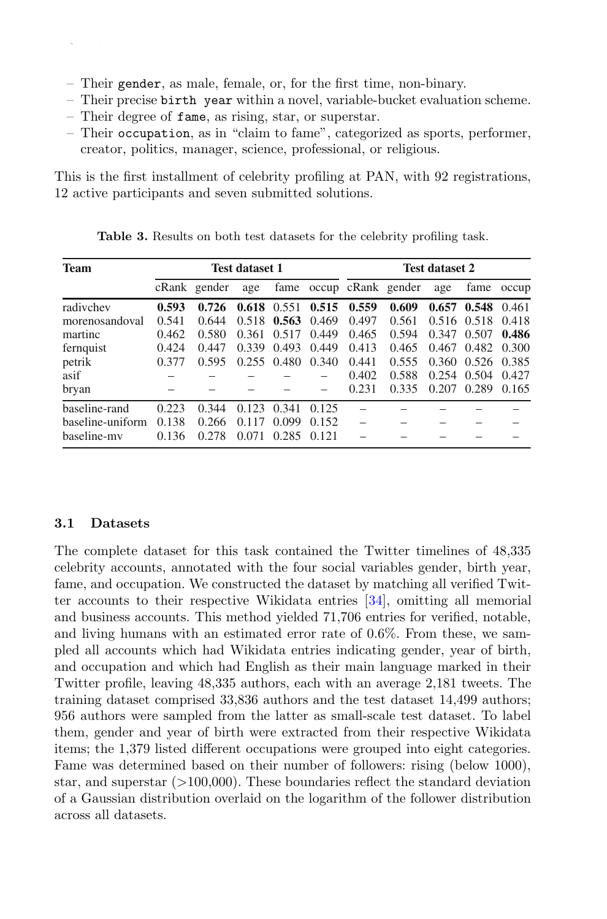- Their gender, as male, female, or, for the first time, non-binary.
- Their precise birth year within a novel, variable-bucket evaluation scheme.
- Their degree of fame, as rising, star, or superstar.

406 W. Daelemans et al.

– Their occupation, as in "claim to fame", categorized as sports, performer, creator, politics, manager, science, professional, or religious.

This is the first installment of celebrity profiling at PAN, with 92 registrations, 12 active participants and seven submitted solutions.

| <b>Team</b>      | <b>Test dataset 1</b> |              |       |                         | <b>Test dataset 2</b> |       |                         |             |       |            |
|------------------|-----------------------|--------------|-------|-------------------------|-----------------------|-------|-------------------------|-------------|-------|------------|
|                  |                       | cRank gender | age   |                         |                       |       | fame occup cRank gender | age         |       | fame occup |
| radivchev        | 0.593                 | 0.726        |       | $0.618$ $0.551$ $0.515$ |                       | 0.559 | 0.609                   | 0.657       | 0.548 | 0.461      |
| morenosandoval   | 0.541                 | 0.644        |       | $0.518$ 0.563           | 0.469                 | 0.497 | 0.561                   | 0.516 0.518 |       | 0.418      |
| martinc          | 0.462                 | 0.580        | 0.361 | 0.517                   | 0.449                 | 0.465 | 0.594                   | 0.347       | 0.507 | 0.486      |
| fernquist        | 0.424                 | 0.447        | 0.339 | 0.493                   | 0.449                 | 0.413 | 0.465                   | 0.467       | 0.482 | 0.300      |
| petrik           | 0.377                 | 0.595        |       | $0.255$ $0.480$         | 0.340                 | 0.441 | 0.555                   | 0.360       | 0.526 | 0.385      |
| asif             |                       |              |       |                         |                       | 0.402 | 0.588                   | 0.254       | 0.504 | 0.427      |
| bryan            |                       |              |       |                         |                       | 0.231 | 0.335                   | 0.207       | 0.289 | 0.165      |
| baseline-rand    | 0.223                 | 0.344        | 0.123 | 0.341                   | 0.125                 |       |                         |             |       |            |
| baseline-uniform | 0.138                 | 0.266        | 0.117 | 0.099                   | 0.152                 |       |                         |             |       |            |
| baseline-my      | 0.136                 | 0.278        | 0.071 | 0.285                   | 0.121                 |       |                         |             |       |            |

Table 3. Results on both test datasets for the celebrity profiling task.

#### 3.1 Datasets

The complete dataset for this task contained the Twitter timelines of 48,335 celebrity accounts, annotated with the four social variables gender, birth year, fame, and occupation. We constructed the dataset by matching all verified Twitter accounts to their respective Wikidata entries [34], omitting all memorial and business accounts. This method yielded 71,706 entries for verified, notable, and living humans with an estimated error rate of 0.6%. From these, we sampled all accounts which had Wikidata entries indicating gender, year of birth, and occupation and which had English as their main language marked in their Twitter profile, leaving 48,335 authors, each with an average 2,181 tweets. The training dataset comprised 33,836 authors and the test dataset 14,499 authors; 956 authors were sampled from the latter as small-scale test dataset. To label them, gender and year of birth were extracted from their respective Wikidata items; the 1,379 listed different occupations were grouped into eight categories. Fame was determined based on their number of followers: rising (below 1000), star, and superstar (>100,000). These boundaries reflect the standard deviation of a Gaussian distribution overlaid on the logarithm of the follower distribution across all datasets.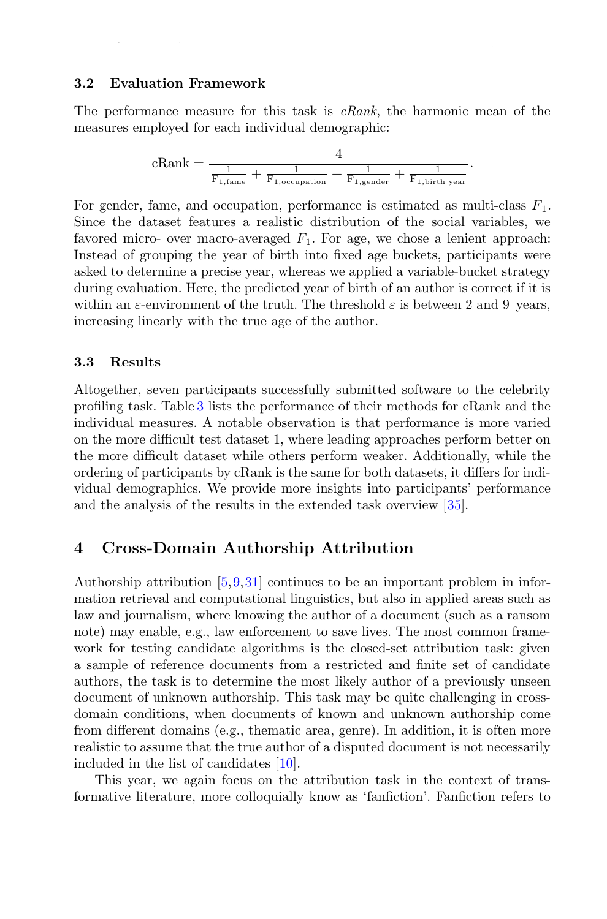#### 3.2 Evaluation Framework

The performance measure for this task is  $cRank$ , the harmonic mean of the measures employed for each individual demographic:

$$
cRank = \frac{4}{\frac{1}{F_{1, \text{fame}}} + \frac{1}{F_{1, \text{ocupation}}} + \frac{1}{F_{1, \text{gender}}} + \frac{1}{F_{1, \text{birth year}}}.
$$

For gender, fame, and occupation, performance is estimated as multi-class  $F_1$ . Since the dataset features a realistic distribution of the social variables, we favored micro- over macro-averaged  $F_1$ . For age, we chose a lenient approach: Instead of grouping the year of birth into fixed age buckets, participants were asked to determine a precise year, whereas we applied a variable-bucket strategy during evaluation. Here, the predicted year of birth of an author is correct if it is within an  $\varepsilon$ -environment of the truth. The threshold  $\varepsilon$  is between 2 and 9 years, increasing linearly with the true age of the author.

#### 3.3 Results

Altogether, seven participants successfully submitted software to the celebrity profiling task. Table 3 lists the performance of their methods for cRank and the individual measures. A notable observation is that performance is more varied on the more difficult test dataset 1, where leading approaches perform better on the more difficult dataset while others perform weaker. Additionally, while the ordering of participants by cRank is the same for both datasets, it differs for individual demographics. We provide more insights into participants' performance and the analysis of the results in the extended task overview [35].

## 4 Cross-Domain Authorship Attribution

Authorship attribution [5,9,31] continues to be an important problem in information retrieval and computational linguistics, but also in applied areas such as law and journalism, where knowing the author of a document (such as a ransom note) may enable, e.g., law enforcement to save lives. The most common framework for testing candidate algorithms is the closed-set attribution task: given a sample of reference documents from a restricted and finite set of candidate authors, the task is to determine the most likely author of a previously unseen document of unknown authorship. This task may be quite challenging in crossdomain conditions, when documents of known and unknown authorship come from different domains (e.g., thematic area, genre). In addition, it is often more realistic to assume that the true author of a disputed document is not necessarily included in the list of candidates [10].

This year, we again focus on the attribution task in the context of transformative literature, more colloquially know as 'fanfiction'. Fanfiction refers to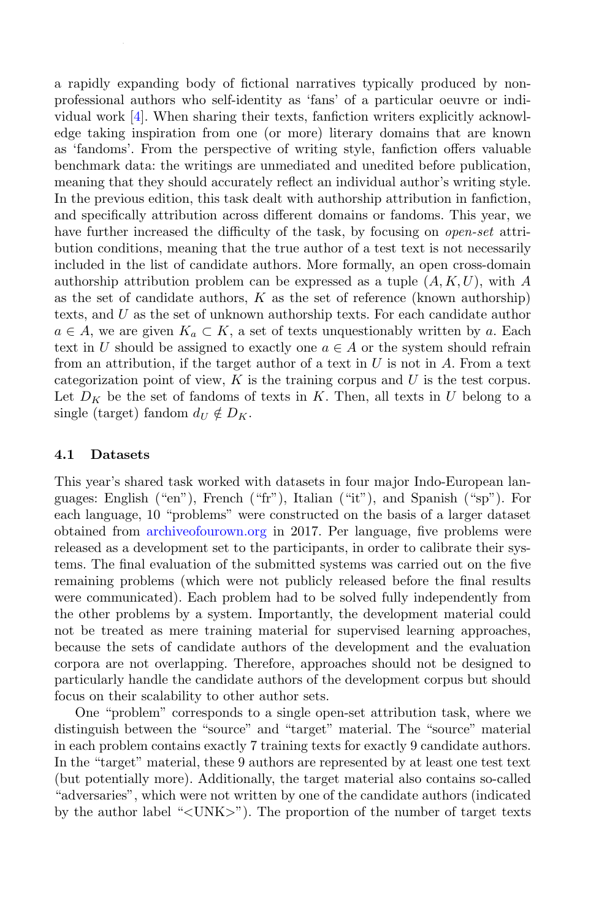a rapidly expanding body of fictional narratives typically produced by nonprofessional authors who self-identity as 'fans' of a particular oeuvre or individual work [4]. When sharing their texts, fanfiction writers explicitly acknowledge taking inspiration from one (or more) literary domains that are known as 'fandoms'. From the perspective of writing style, fanfiction offers valuable benchmark data: the writings are unmediated and unedited before publication, meaning that they should accurately reflect an individual author's writing style. In the previous edition, this task dealt with authorship attribution in fanfiction, and specifically attribution across different domains or fandoms. This year, we have further increased the difficulty of the task, by focusing on *open-set* attribution conditions, meaning that the true author of a test text is not necessarily included in the list of candidate authors. More formally, an open cross-domain authorship attribution problem can be expressed as a tuple  $(A, K, U)$ , with A as the set of candidate authors,  $K$  as the set of reference (known authorship) texts, and U as the set of unknown authorship texts. For each candidate author  $a \in A$ , we are given  $K_a \subset K$ , a set of texts unquestionably written by a. Each text in U should be assigned to exactly one  $a \in A$  or the system should refrain from an attribution, if the target author of a text in  $U$  is not in  $A$ . From a text categorization point of view,  $K$  is the training corpus and  $U$  is the test corpus. Let  $D_K$  be the set of fandoms of texts in K. Then, all texts in U belong to a single (target) fandom  $d_U \notin D_K$ .

#### 4.1 Datasets

This year's shared task worked with datasets in four major Indo-European languages: English ("en"), French ("fr"), Italian ("it"), and Spanish ("sp"). For each language, 10 "problems" were constructed on the basis of a larger dataset obtained from archiveofourown.org in 2017. Per language, five problems were released as a development set to the participants, in order to calibrate their systems. The final evaluation of the submitted systems was carried out on the five remaining problems (which were not publicly released before the final results were communicated). Each problem had to be solved fully independently from the other problems by a system. Importantly, the development material could not be treated as mere training material for supervised learning approaches, because the sets of candidate authors of the development and the evaluation corpora are not overlapping. Therefore, approaches should not be designed to particularly handle the candidate authors of the development corpus but should focus on their scalability to other author sets.

One "problem" corresponds to a single open-set attribution task, where we distinguish between the "source" and "target" material. The "source" material in each problem contains exactly 7 training texts for exactly 9 candidate authors. In the "target" material, these 9 authors are represented by at least one test text (but potentially more). Additionally, the target material also contains so-called "adversaries", which were not written by one of the candidate authors (indicated by the author label "<UNK>"). The proportion of the number of target texts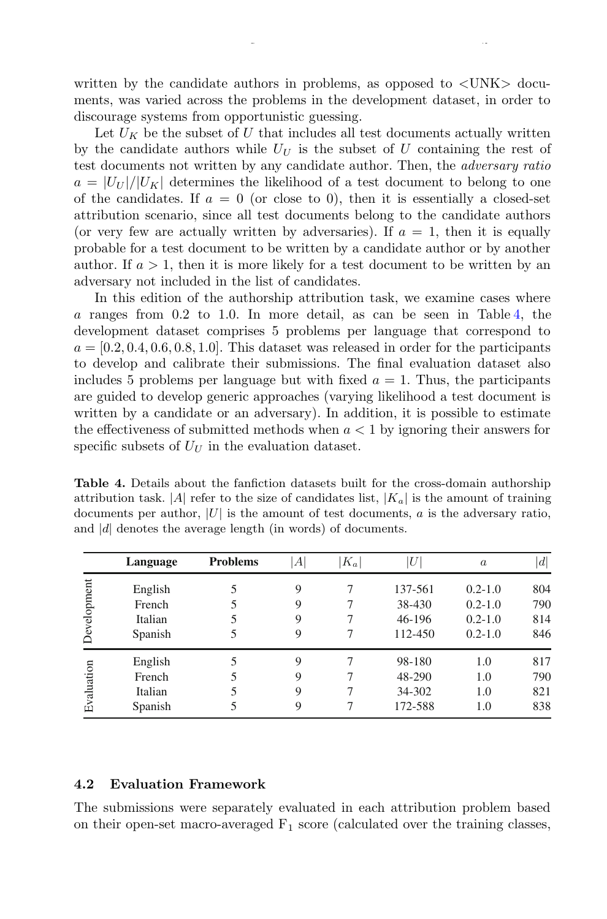written by the candidate authors in problems, as opposed to  $\langle$  UNK $\rangle$  documents, was varied across the problems in the development dataset, in order to discourage systems from opportunistic guessing.

Let  $U_K$  be the subset of U that includes all test documents actually written by the candidate authors while  $U_U$  is the subset of U containing the rest of test documents not written by any candidate author. Then, the adversary ratio  $a = |U_{U}|/|U_{K}|$  determines the likelihood of a test document to belong to one of the candidates. If  $a = 0$  (or close to 0), then it is essentially a closed-set attribution scenario, since all test documents belong to the candidate authors (or very few are actually written by adversaries). If  $a = 1$ , then it is equally probable for a test document to be written by a candidate author or by another author. If  $a > 1$ , then it is more likely for a test document to be written by an adversary not included in the list of candidates.

In this edition of the authorship attribution task, we examine cases where a ranges from 0.2 to 1.0. In more detail, as can be seen in Table 4, the development dataset comprises 5 problems per language that correspond to  $a = [0.2, 0.4, 0.6, 0.8, 1.0]$ . This dataset was released in order for the participants to develop and calibrate their submissions. The final evaluation dataset also includes 5 problems per language but with fixed  $a = 1$ . Thus, the participants are guided to develop generic approaches (varying likelihood a test document is written by a candidate or an adversary). In addition, it is possible to estimate the effectiveness of submitted methods when  $a < 1$  by ignoring their answers for specific subsets of  $U_{U}$  in the evaluation dataset.

Table 4. Details about the fanfiction datasets built for the cross-domain authorship attribution task. |A| refer to the size of candidates list,  $|K_a|$  is the amount of training documents per author,  $|U|$  is the amount of test documents,  $a$  is the adversary ratio, and  $|d|$  denotes the average length (in words) of documents.

|             | Language | <b>Problems</b> | $A^{\prime}$ | $K_a$ | U       | $\boldsymbol{a}$ | d   |
|-------------|----------|-----------------|--------------|-------|---------|------------------|-----|
|             | English  |                 | 9            |       | 137-561 | $0.2 - 1.0$      | 804 |
|             | French   |                 | 9            |       | 38-430  | $0.2 - 1.0$      | 790 |
|             | Italian  |                 | 9            |       | 46-196  | $0.2 - 1.0$      | 814 |
| Development | Spanish  | 5               | 9            |       | 112-450 | $0.2 - 1.0$      | 846 |
|             | English  |                 | 9            |       | 98-180  | 1.0              | 817 |
|             | French   |                 | 9            |       | 48-290  | 1.0              | 790 |
| Evaluation  | Italian  |                 | 9            |       | 34-302  | 1.0              | 821 |
|             | Spanish  |                 | 9            |       | 172-588 | 1.0              | 838 |

#### 4.2 Evaluation Framework

The submissions were separately evaluated in each attribution problem based on their open-set macro-averaged  $F_1$  score (calculated over the training classes,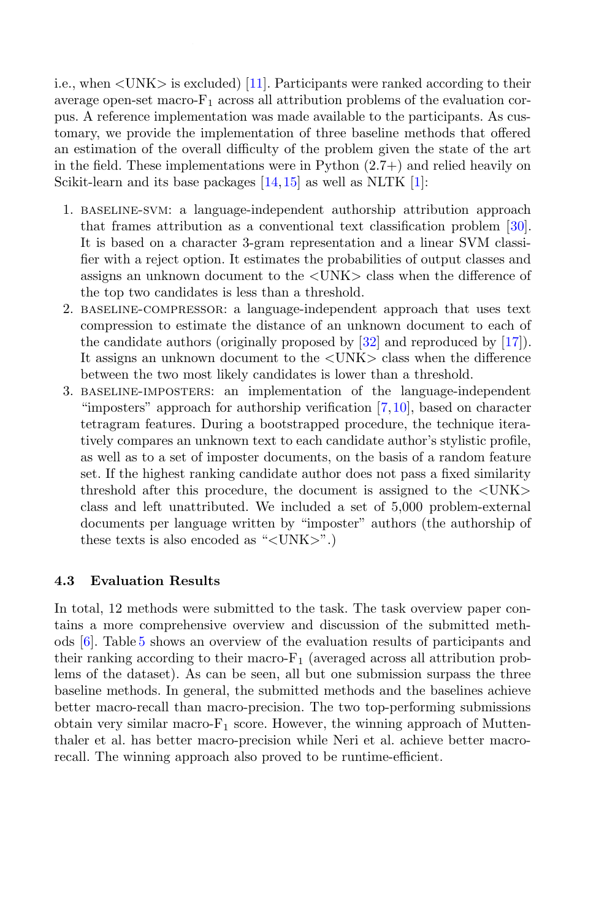i.e., when <UNK> is excluded) [11]. Participants were ranked according to their average open-set macro- $F_1$  across all attribution problems of the evaluation corpus. A reference implementation was made available to the participants. As customary, we provide the implementation of three baseline methods that offered an estimation of the overall difficulty of the problem given the state of the art in the field. These implementations were in Python  $(2.7+)$  and relied heavily on Scikit-learn and its base packages [14,15] as well as NLTK [1]:

- 1. baseline-svm: a language-independent authorship attribution approach that frames attribution as a conventional text classification problem [30]. It is based on a character 3-gram representation and a linear SVM classifier with a reject option. It estimates the probabilities of output classes and assigns an unknown document to the <UNK> class when the difference of the top two candidates is less than a threshold.
- 2. baseline-compressor: a language-independent approach that uses text compression to estimate the distance of an unknown document to each of the candidate authors (originally proposed by  $[32]$  and reproduced by  $[17]$ ). It assigns an unknown document to the <UNK> class when the difference between the two most likely candidates is lower than a threshold.
- 3. baseline-imposters: an implementation of the language-independent "imposters" approach for authorship verification [7,10], based on character tetragram features. During a bootstrapped procedure, the technique iteratively compares an unknown text to each candidate author's stylistic profile, as well as to a set of imposter documents, on the basis of a random feature set. If the highest ranking candidate author does not pass a fixed similarity threshold after this procedure, the document is assigned to the <UNK> class and left unattributed. We included a set of 5,000 problem-external documents per language written by "imposter" authors (the authorship of these texts is also encoded as " $\langle$ UNK $>$ ".)

#### 4.3 Evaluation Results

In total, 12 methods were submitted to the task. The task overview paper contains a more comprehensive overview and discussion of the submitted methods [6]. Table 5 shows an overview of the evaluation results of participants and their ranking according to their macro- $F_1$  (averaged across all attribution problems of the dataset). As can be seen, all but one submission surpass the three baseline methods. In general, the submitted methods and the baselines achieve better macro-recall than macro-precision. The two top-performing submissions obtain very similar macro- $F_1$  score. However, the winning approach of Muttenthaler et al. has better macro-precision while Neri et al. achieve better macrorecall. The winning approach also proved to be runtime-efficient.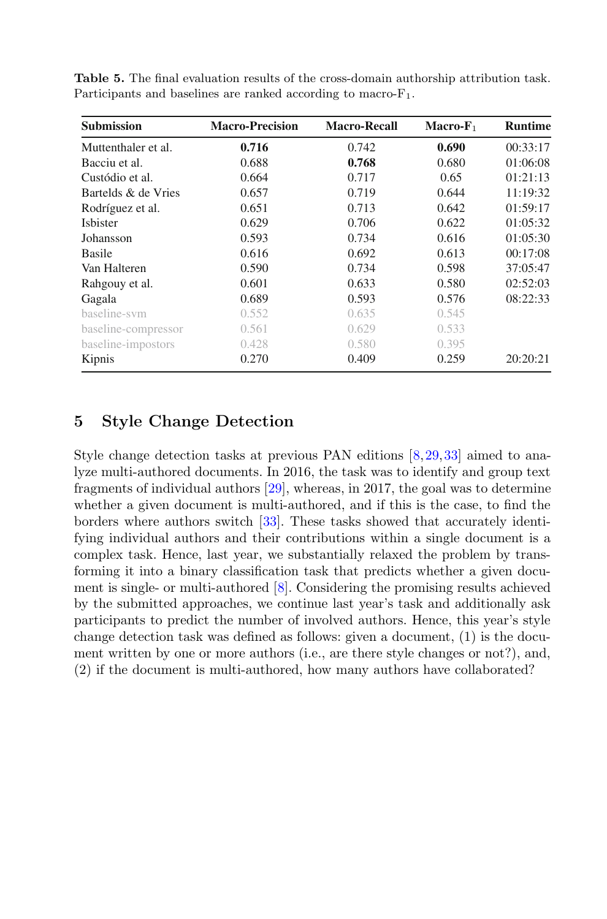| <b>Submission</b>   | <b>Macro-Precision</b> | <b>Macro-Recall</b> | $Macro-F1$ | <b>Runtime</b> |
|---------------------|------------------------|---------------------|------------|----------------|
| Muttenthaler et al. | 0.716                  | 0.742               | 0.690      | 00:33:17       |
| Bacciu et al.       | 0.688                  | 0.768               | 0.680      | 01:06:08       |
| Custódio et al.     | 0.664                  | 0.717               | 0.65       | 01:21:13       |
| Bartelds & de Vries | 0.657                  | 0.719               | 0.644      | 11:19:32       |
| Rodríguez et al.    | 0.651                  | 0.713               | 0.642      | 01:59:17       |
| <b>Isbister</b>     | 0.629                  | 0.706               | 0.622      | 01:05:32       |
| Johansson           | 0.593                  | 0.734               | 0.616      | 01:05:30       |
| <b>Basile</b>       | 0.616                  | 0.692               | 0.613      | 00:17:08       |
| Van Halteren        | 0.590                  | 0.734               | 0.598      | 37:05:47       |
| Rahgouy et al.      | 0.601                  | 0.633               | 0.580      | 02:52:03       |
| Gagala              | 0.689                  | 0.593               | 0.576      | 08:22:33       |
| baseline-sym        | 0.552                  | 0.635               | 0.545      |                |
| baseline-compressor | 0.561                  | 0.629               | 0.533      |                |
| baseline-impostors  | 0.428                  | 0.580               | 0.395      |                |
| Kipnis              | 0.270                  | 0.409               | 0.259      | 20:20:21       |

Table 5. The final evaluation results of the cross-domain authorship attribution task. Participants and baselines are ranked according to macro- $F_1$ .

# 5 Style Change Detection

Style change detection tasks at previous PAN editions [8,29,33] aimed to analyze multi-authored documents. In 2016, the task was to identify and group text fragments of individual authors [29], whereas, in 2017, the goal was to determine whether a given document is multi-authored, and if this is the case, to find the borders where authors switch [33]. These tasks showed that accurately identifying individual authors and their contributions within a single document is a complex task. Hence, last year, we substantially relaxed the problem by transforming it into a binary classification task that predicts whether a given document is single- or multi-authored [8]. Considering the promising results achieved by the submitted approaches, we continue last year's task and additionally ask participants to predict the number of involved authors. Hence, this year's style change detection task was defined as follows: given a document, (1) is the document written by one or more authors (i.e., are there style changes or not?), and, (2) if the document is multi-authored, how many authors have collaborated?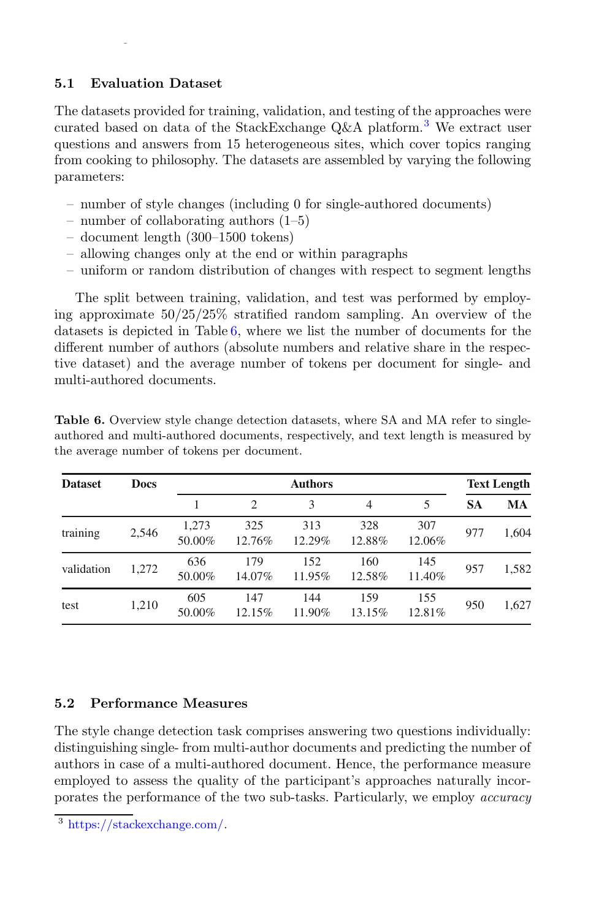## 5.1 Evaluation Dataset

The datasets provided for training, validation, and testing of the approaches were curated based on data of the StackExchange  $Q\&A$  platform.<sup>3</sup> We extract user questions and answers from 15 heterogeneous sites, which cover topics ranging from cooking to philosophy. The datasets are assembled by varying the following parameters:

- number of style changes (including 0 for single-authored documents)
- number of collaborating authors (1–5)
- document length (300–1500 tokens)
- allowing changes only at the end or within paragraphs
- uniform or random distribution of changes with respect to segment lengths

The split between training, validation, and test was performed by employing approximate 50/25/25% stratified random sampling. An overview of the datasets is depicted in Table 6, where we list the number of documents for the different number of authors (absolute numbers and relative share in the respective dataset) and the average number of tokens per document for single- and multi-authored documents.

| <b>Dataset</b> | <b>Docs</b> | <b>Authors</b>  |                             |               |               | <b>Text Length</b> |           |       |
|----------------|-------------|-----------------|-----------------------------|---------------|---------------|--------------------|-----------|-------|
|                |             |                 | $\mathcal{D}_{\mathcal{A}}$ | 3             | 4             | 5                  | <b>SA</b> | MA    |
| training       | 2.546       | 1.273<br>50.00% | 325<br>12.76%               | 313<br>12.29% | 328<br>12.88% | 307<br>12.06%      | 977       | 1.604 |
| validation     | 1,272       | 636<br>50.00%   | 179<br>14.07%               | 152<br>11.95% | 160<br>12.58% | 145<br>11.40%      | 957       | 1.582 |
| test           | 1,210       | 605<br>50.00%   | 147<br>12.15%               | 144<br>11.90% | 159<br>13.15% | 155<br>12.81%      | 950       | 1,627 |

Table 6. Overview style change detection datasets, where SA and MA refer to singleauthored and multi-authored documents, respectively, and text length is measured by the average number of tokens per document.

## 5.2 Performance Measures

The style change detection task comprises answering two questions individually: distinguishing single- from multi-author documents and predicting the number of authors in case of a multi-authored document. Hence, the performance measure employed to assess the quality of the participant's approaches naturally incorporates the performance of the two sub-tasks. Particularly, we employ accuracy

<sup>3</sup> https://stackexchange.com/.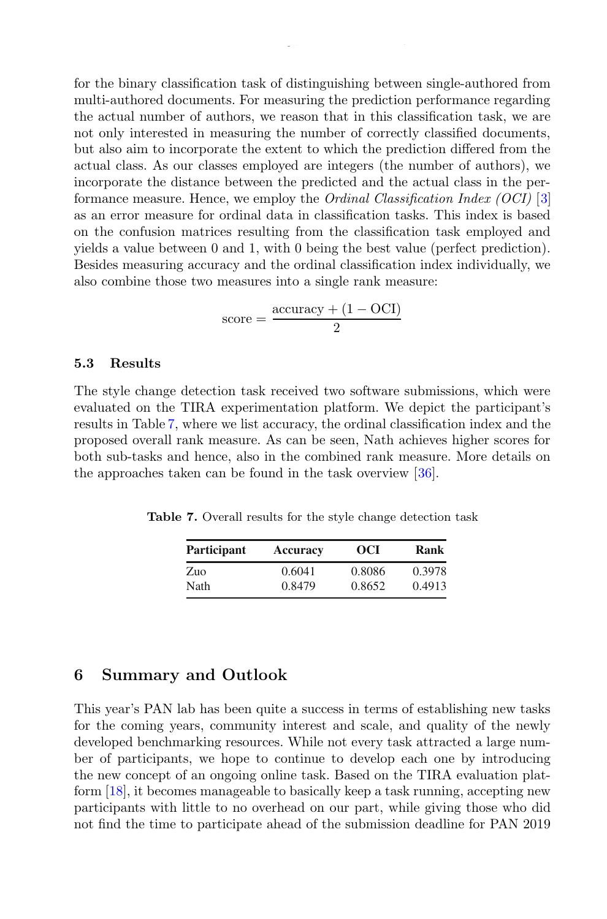for the binary classification task of distinguishing between single-authored from multi-authored documents. For measuring the prediction performance regarding the actual number of authors, we reason that in this classification task, we are not only interested in measuring the number of correctly classified documents, but also aim to incorporate the extent to which the prediction differed from the actual class. As our classes employed are integers (the number of authors), we incorporate the distance between the predicted and the actual class in the performance measure. Hence, we employ the Ordinal Classification Index (OCI) [3] as an error measure for ordinal data in classification tasks. This index is based on the confusion matrices resulting from the classification task employed and yields a value between 0 and 1, with 0 being the best value (perfect prediction). Besides measuring accuracy and the ordinal classification index individually, we also combine those two measures into a single rank measure:

$$
score = \frac{accuracy + (1 - OCI)}{2}
$$

#### 5.3 Results

The style change detection task received two software submissions, which were evaluated on the TIRA experimentation platform. We depict the participant's results in Table 7, where we list accuracy, the ordinal classification index and the proposed overall rank measure. As can be seen, Nath achieves higher scores for both sub-tasks and hence, also in the combined rank measure. More details on the approaches taken can be found in the task overview [36].

Table 7. Overall results for the style change detection task

| Participant | <b>Accuracy</b> | OCI    | Rank   |
|-------------|-----------------|--------|--------|
| Zuo         | 0.6041          | 0.8086 | 0.3978 |
| Nath        | 0.8479          | 0.8652 | 0.4913 |

## 6 Summary and Outlook

This year's PAN lab has been quite a success in terms of establishing new tasks for the coming years, community interest and scale, and quality of the newly developed benchmarking resources. While not every task attracted a large number of participants, we hope to continue to develop each one by introducing the new concept of an ongoing online task. Based on the TIRA evaluation platform [18], it becomes manageable to basically keep a task running, accepting new participants with little to no overhead on our part, while giving those who did not find the time to participate ahead of the submission deadline for PAN 2019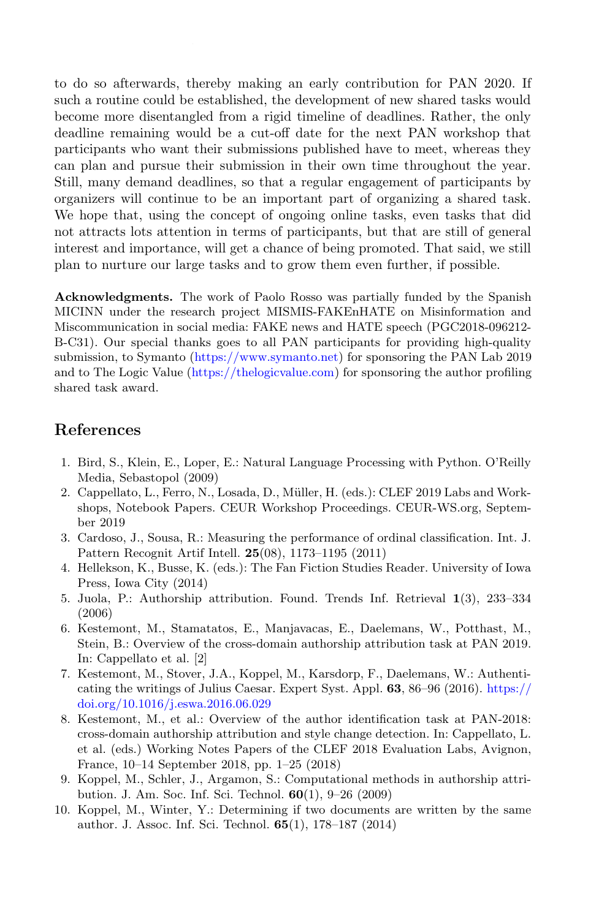to do so afterwards, thereby making an early contribution for PAN 2020. If such a routine could be established, the development of new shared tasks would become more disentangled from a rigid timeline of deadlines. Rather, the only deadline remaining would be a cut-off date for the next PAN workshop that participants who want their submissions published have to meet, whereas they can plan and pursue their submission in their own time throughout the year. Still, many demand deadlines, so that a regular engagement of participants by organizers will continue to be an important part of organizing a shared task. We hope that, using the concept of ongoing online tasks, even tasks that did not attracts lots attention in terms of participants, but that are still of general interest and importance, will get a chance of being promoted. That said, we still plan to nurture our large tasks and to grow them even further, if possible.

Acknowledgments. The work of Paolo Rosso was partially funded by the Spanish MICINN under the research project MISMIS-FAKEnHATE on Misinformation and Miscommunication in social media: FAKE news and HATE speech (PGC2018-096212- B-C31). Our special thanks goes to all PAN participants for providing high-quality submission, to Symanto (https://www.symanto.net) for sponsoring the PAN Lab 2019 and to The Logic Value (https://thelogicvalue.com) for sponsoring the author profiling shared task award.

# References

- 1. Bird, S., Klein, E., Loper, E.: Natural Language Processing with Python. O'Reilly Media, Sebastopol (2009)
- 2. Cappellato, L., Ferro, N., Losada, D., Müller, H. (eds.): CLEF 2019 Labs and Workshops, Notebook Papers. CEUR Workshop Proceedings. CEUR-WS.org, September 2019
- 3. Cardoso, J., Sousa, R.: Measuring the performance of ordinal classification. Int. J. Pattern Recognit Artif Intell. 25(08), 1173–1195 (2011)
- 4. Hellekson, K., Busse, K. (eds.): The Fan Fiction Studies Reader. University of Iowa Press, Iowa City (2014)
- 5. Juola, P.: Authorship attribution. Found. Trends Inf. Retrieval 1(3), 233–334 (2006)
- 6. Kestemont, M., Stamatatos, E., Manjavacas, E., Daelemans, W., Potthast, M., Stein, B.: Overview of the cross-domain authorship attribution task at PAN 2019. In: Cappellato et al. [2]
- 7. Kestemont, M., Stover, J.A., Koppel, M., Karsdorp, F., Daelemans, W.: Authenticating the writings of Julius Caesar. Expert Syst. Appl. 63, 86–96 (2016). https:// doi.org/10.1016/j.eswa.2016.06.029
- 8. Kestemont, M., et al.: Overview of the author identification task at PAN-2018: cross-domain authorship attribution and style change detection. In: Cappellato, L. et al. (eds.) Working Notes Papers of the CLEF 2018 Evaluation Labs, Avignon, France, 10–14 September 2018, pp. 1–25 (2018)
- 9. Koppel, M., Schler, J., Argamon, S.: Computational methods in authorship attribution. J. Am. Soc. Inf. Sci. Technol. 60(1), 9–26 (2009)
- 10. Koppel, M., Winter, Y.: Determining if two documents are written by the same author. J. Assoc. Inf. Sci. Technol. 65(1), 178–187 (2014)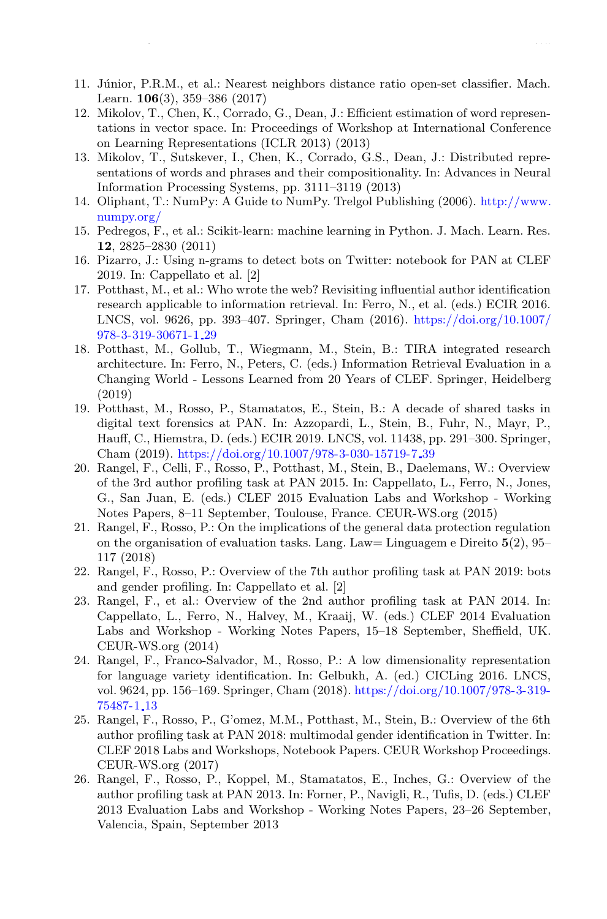- 11. Júnior, P.R.M., et al.: Nearest neighbors distance ratio open-set classifier. Mach. Learn. 106(3), 359–386 (2017)
- 12. Mikolov, T., Chen, K., Corrado, G., Dean, J.: Efficient estimation of word representations in vector space. In: Proceedings of Workshop at International Conference on Learning Representations (ICLR 2013) (2013)
- 13. Mikolov, T., Sutskever, I., Chen, K., Corrado, G.S., Dean, J.: Distributed representations of words and phrases and their compositionality. In: Advances in Neural Information Processing Systems, pp. 3111–3119 (2013)
- 14. Oliphant, T.: NumPy: A Guide to NumPy. Trelgol Publishing (2006). http://www. numpy.org/
- 15. Pedregos, F., et al.: Scikit-learn: machine learning in Python. J. Mach. Learn. Res. 12, 2825–2830 (2011)
- 16. Pizarro, J.: Using n-grams to detect bots on Twitter: notebook for PAN at CLEF 2019. In: Cappellato et al. [2]
- 17. Potthast, M., et al.: Who wrote the web? Revisiting influential author identification research applicable to information retrieval. In: Ferro, N., et al. (eds.) ECIR 2016. LNCS, vol. 9626, pp. 393–407. Springer, Cham (2016). https://doi.org/10.1007/ 978-3-319-30671-1 29
- 18. Potthast, M., Gollub, T., Wiegmann, M., Stein, B.: TIRA integrated research architecture. In: Ferro, N., Peters, C. (eds.) Information Retrieval Evaluation in a Changing World - Lessons Learned from 20 Years of CLEF. Springer, Heidelberg (2019)
- 19. Potthast, M., Rosso, P., Stamatatos, E., Stein, B.: A decade of shared tasks in digital text forensics at PAN. In: Azzopardi, L., Stein, B., Fuhr, N., Mayr, P., Hauff, C., Hiemstra, D. (eds.) ECIR 2019. LNCS, vol. 11438, pp. 291–300. Springer, Cham (2019). https://doi.org/10.1007/978-3-030-15719-7 39
- 20. Rangel, F., Celli, F., Rosso, P., Potthast, M., Stein, B., Daelemans, W.: Overview of the 3rd author profiling task at PAN 2015. In: Cappellato, L., Ferro, N., Jones, G., San Juan, E. (eds.) CLEF 2015 Evaluation Labs and Workshop - Working Notes Papers, 8–11 September, Toulouse, France. CEUR-WS.org (2015)
- 21. Rangel, F., Rosso, P.: On the implications of the general data protection regulation on the organisation of evaluation tasks. Lang. Law = Linguagem e Direito  $5(2)$ ,  $95-$ 117 (2018)
- 22. Rangel, F., Rosso, P.: Overview of the 7th author profiling task at PAN 2019: bots and gender profiling. In: Cappellato et al. [2]
- 23. Rangel, F., et al.: Overview of the 2nd author profiling task at PAN 2014. In: Cappellato, L., Ferro, N., Halvey, M., Kraaij, W. (eds.) CLEF 2014 Evaluation Labs and Workshop - Working Notes Papers, 15–18 September, Sheffield, UK. CEUR-WS.org (2014)
- 24. Rangel, F., Franco-Salvador, M., Rosso, P.: A low dimensionality representation for language variety identification. In: Gelbukh, A. (ed.) CICLing 2016. LNCS, vol. 9624, pp. 156–169. Springer, Cham (2018). https://doi.org/10.1007/978-3-319- 75487-1 13
- 25. Rangel, F., Rosso, P., G'omez, M.M., Potthast, M., Stein, B.: Overview of the 6th author profiling task at PAN 2018: multimodal gender identification in Twitter. In: CLEF 2018 Labs and Workshops, Notebook Papers. CEUR Workshop Proceedings. CEUR-WS.org (2017)
- 26. Rangel, F., Rosso, P., Koppel, M., Stamatatos, E., Inches, G.: Overview of the author profiling task at PAN 2013. In: Forner, P., Navigli, R., Tufis, D. (eds.) CLEF 2013 Evaluation Labs and Workshop - Working Notes Papers, 23–26 September, Valencia, Spain, September 2013